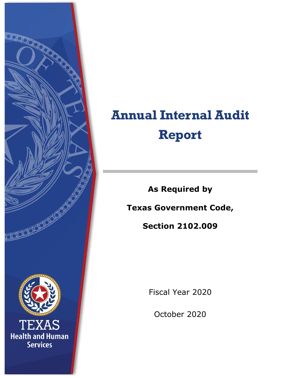

# **Annual Internal Audit Report**

**As Required by**

**Texas Government Code,**

**Section 2102.009**

Fiscal Year 2020

October 2020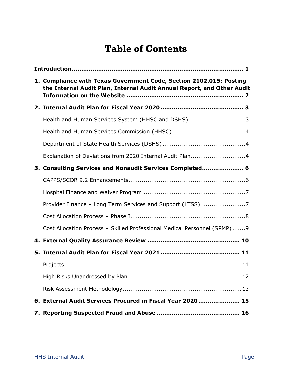# **Table of Contents**

| 1. Compliance with Texas Government Code, Section 2102.015: Posting<br>the Internal Audit Plan, Internal Audit Annual Report, and Other Audit |  |  |  |  |
|-----------------------------------------------------------------------------------------------------------------------------------------------|--|--|--|--|
|                                                                                                                                               |  |  |  |  |
| Health and Human Services System (HHSC and DSHS)3                                                                                             |  |  |  |  |
|                                                                                                                                               |  |  |  |  |
|                                                                                                                                               |  |  |  |  |
| Explanation of Deviations from 2020 Internal Audit Plan4                                                                                      |  |  |  |  |
| 3. Consulting Services and Nonaudit Services Completed 6                                                                                      |  |  |  |  |
|                                                                                                                                               |  |  |  |  |
|                                                                                                                                               |  |  |  |  |
| Provider Finance - Long Term Services and Support (LTSS) 7                                                                                    |  |  |  |  |
|                                                                                                                                               |  |  |  |  |
| Cost Allocation Process - Skilled Professional Medical Personnel (SPMP)9                                                                      |  |  |  |  |
|                                                                                                                                               |  |  |  |  |
|                                                                                                                                               |  |  |  |  |
|                                                                                                                                               |  |  |  |  |
|                                                                                                                                               |  |  |  |  |
|                                                                                                                                               |  |  |  |  |
| 6. External Audit Services Procured in Fiscal Year 2020 15                                                                                    |  |  |  |  |
|                                                                                                                                               |  |  |  |  |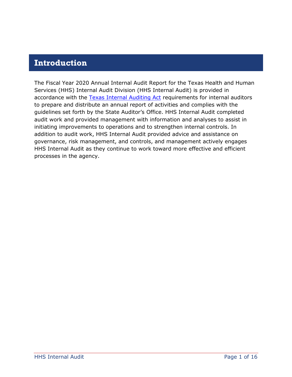## <span id="page-2-0"></span>**Introduction**

The Fiscal Year 2020 Annual Internal Audit Report for the Texas Health and Human Services (HHS) Internal Audit Division (HHS Internal Audit) is provided in accordance with the [Texas Internal Auditing Act](https://statutes.capitol.texas.gov/Docs/GV/pdf/GV.2102.pdf) requirements for internal auditors to prepare and distribute an annual report of activities and complies with the guidelines set forth by the State Auditor's Office. HHS Internal Audit completed audit work and provided management with information and analyses to assist in initiating improvements to operations and to strengthen internal controls. In addition to audit work, HHS Internal Audit provided advice and assistance on governance, risk management, and controls, and management actively engages HHS Internal Audit as they continue to work toward more effective and efficient processes in the agency.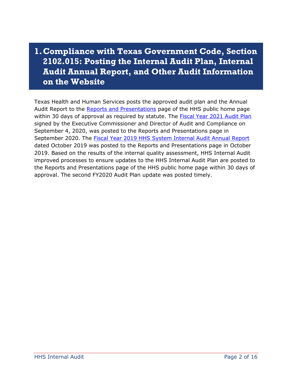# <span id="page-3-0"></span>**1.Compliance with Texas Government Code, Section 2102.015: Posting the Internal Audit Plan, Internal Audit Annual Report, and Other Audit Information on the Website**

Texas Health and Human Services posts the approved audit plan and the Annual Audit Report to the [Reports and Presentations](https://hhs.texas.gov/laws-regulations/reports-and-presentations/search-results?title=audit) page of the HHS public home page within 30 days of approval as required by statute. The [Fiscal Year 2021 Audit Plan](https://hhs.texas.gov/sites/default/files/documents/laws-regulations/reports-presentations/2020/internal-audit-plan-fy2021.pdf) signed by the Executive Commissioner and Director of Audit and Compliance on September 4, 2020, was posted to the Reports and Presentations page in September 2020. The [Fiscal Year 2019 HHS System Internal Audit Annual](https://hhs.texas.gov/sites/default/files/documents/laws-regulations/reports-presentations/2019/internal-audit-annual-report-fy-2019.pdf) Report dated October 2019 was posted to the Reports and Presentations page in October 2019. Based on the results of the internal quality assessment, HHS Internal Audit improved processes to ensure updates to the HHS Internal Audit Plan are posted to the Reports and Presentations page of the HHS public home page within 30 days of approval. The second FY2020 Audit Plan update was posted timely.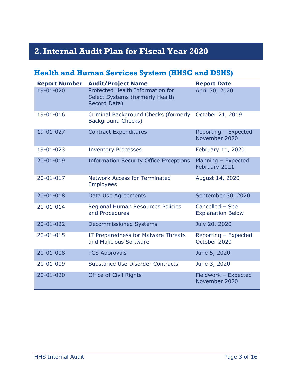# <span id="page-4-0"></span>**2.Internal Audit Plan for Fiscal Year 2020**

## <span id="page-4-1"></span>**Health and Human Services System (HHSC and DSHS)**

| <b>Report Number</b> | <b>Audit/Project Name</b>                                                           | <b>Report Date</b>                          |
|----------------------|-------------------------------------------------------------------------------------|---------------------------------------------|
| 19-01-020            | Protected Health Information for<br>Select Systems (formerly Health<br>Record Data) | April 30, 2020                              |
| 19-01-016            | Criminal Background Checks (formerly October 21, 2019<br><b>Background Checks)</b>  |                                             |
| 19-01-027            | <b>Contract Expenditures</b>                                                        | Reporting - Expected<br>November 2020       |
| 19-01-023            | <b>Inventory Processes</b>                                                          | February 11, 2020                           |
| $20 - 01 - 019$      | <b>Information Security Office Exceptions</b>                                       | Planning - Expected<br>February 2021        |
| $20 - 01 - 017$      | <b>Network Access for Terminated</b><br><b>Employees</b>                            | August 14, 2020                             |
| $20 - 01 - 018$      | Data Use Agreements                                                                 | September 30, 2020                          |
| $20 - 01 - 014$      | Regional Human Resources Policies<br>and Procedures                                 | Cancelled - See<br><b>Explanation Below</b> |
| $20 - 01 - 022$      | <b>Decommissioned Systems</b>                                                       | July 20, 2020                               |
| $20 - 01 - 015$      | IT Preparedness for Malware Threats<br>and Malicious Software                       | Reporting - Expected<br>October 2020        |
| $20 - 01 - 008$      | <b>PCS Approvals</b>                                                                | June 5, 2020                                |
| 20-01-009            | Substance Use Disorder Contracts                                                    | June 3, 2020                                |
| $20 - 01 - 020$      | <b>Office of Civil Rights</b>                                                       | Fieldwork - Expected<br>November 2020       |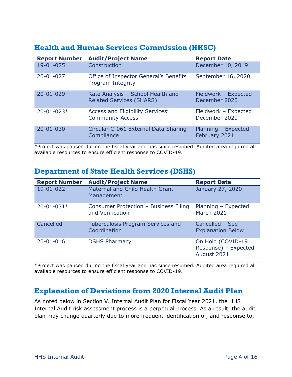| <b>Report Number</b> | <b>Audit/Project Name</b>                                            | <b>Report Date</b>                    |
|----------------------|----------------------------------------------------------------------|---------------------------------------|
| 19-01-025            | Construction                                                         | December 10, 2019                     |
| $20 - 01 - 027$      | Office of Inspector General's Benefits<br>Program Integrity          | September 16, 2020                    |
| $20 - 01 - 029$      | Rate Analysis - School Health and<br><b>Related Services (SHARS)</b> | Fieldwork - Expected<br>December 2020 |
| $20 - 01 - 023*$     | Access and Eligibility Services'<br><b>Community Access</b>          | Fieldwork - Expected<br>December 2020 |
| $20 - 01 - 030$      | Circular C-061 External Data Sharing<br>Compliance                   | Planning - Expected<br>February 2021  |

## <span id="page-5-0"></span>**Health and Human Services Commission (HHSC)**

\*Project was paused during the fiscal year and has since resumed. Audited area required all available resources to ensure efficient response to COVID-19.

## <span id="page-5-1"></span>**Department of State Health Services (DSHS)**

| <b>Report Number</b> | <b>Audit/Project Name</b>                                 | <b>Report Date</b>                                       |
|----------------------|-----------------------------------------------------------|----------------------------------------------------------|
| 19-01-022            | Maternal and Child Health Grant<br>Management             | January 27, 2020                                         |
| $20 - 01 - 031*$     | Consumer Protection - Business Filing<br>and Verification | Planning - Expected<br>March 2021                        |
| Cancelled            | <b>Tuberculosis Program Services and</b><br>Coordination  | Cancelled - See<br><b>Explanation Below</b>              |
| 20-01-016            | <b>DSHS Pharmacy</b>                                      | On Hold (COVID-19<br>Response) - Expected<br>August 2021 |

\*Project was paused during the fiscal year and has since resumed. Audited area required all available resources to ensure efficient response to COVID-19.

## <span id="page-5-2"></span>**Explanation of Deviations from 2020 Internal Audit Plan**

As noted below in Section V. Internal Audit Plan for Fiscal Year 2021, the HHS Internal Audit risk assessment process is a perpetual process. As a result, the audit plan may change quarterly due to more frequent identification of, and response to,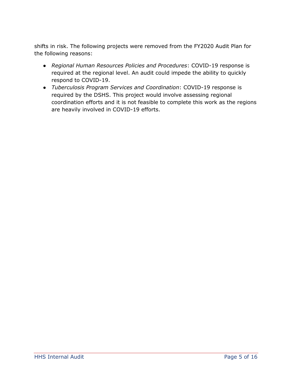shifts in risk. The following projects were removed from the FY2020 Audit Plan for the following reasons:

- *Regional Human Resources Policies and Procedures*: COVID-19 response is required at the regional level. An audit could impede the ability to quickly respond to COVID-19.
- *Tuberculosis Program Services and Coordination*: COVID-19 response is required by the DSHS. This project would involve assessing regional coordination efforts and it is not feasible to complete this work as the regions are heavily involved in COVID-19 efforts.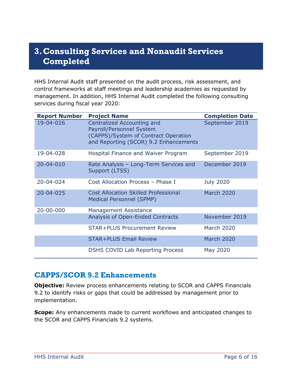# <span id="page-7-0"></span>**3.Consulting Services and Nonaudit Services Completed**

HHS Internal Audit staff presented on the audit process, risk assessment, and control frameworks at staff meetings and leadership academies as requested by management. In addition, HHS Internal Audit completed the following consulting services during fiscal year 2020:

| <b>Report Number</b> | <b>Project Name</b>                                                                                                                     | <b>Completion Date</b> |
|----------------------|-----------------------------------------------------------------------------------------------------------------------------------------|------------------------|
| 19-04-026            | Centralized Accounting and<br>Payroll/Personnel System<br>(CAPPS)/System of Contract Operation<br>and Reporting (SCOR) 9.2 Enhancements | September 2019         |
| 19-04-028            | Hospital Finance and Waiver Program                                                                                                     | September 2019         |
| $20 - 04 - 010$      | Rate Analysis - Long-Term Services and<br>Support (LTSS)                                                                                | December 2019          |
| 20-04-024            | Cost Allocation Process - Phase I                                                                                                       | <b>July 2020</b>       |
| 20-04-025            | <b>Cost Allocation Skilled Professional</b><br><b>Medical Personnel (SPMP)</b>                                                          | <b>March 2020</b>      |
| 20-00-000            | <b>Management Assistance</b>                                                                                                            |                        |
|                      | <b>Analysis of Open-Ended Contracts</b>                                                                                                 | November 2019          |
|                      | STAR+PLUS Procurement Review                                                                                                            | <b>March 2020</b>      |
|                      | <b>STAR+PLUS Email Review</b>                                                                                                           | <b>March 2020</b>      |
|                      | <b>DSHS COVID Lab Reporting Process</b>                                                                                                 | May 2020               |

#### <span id="page-7-1"></span>**CAPPS/SCOR 9.2 Enhancements**

**Objective:** Review process enhancements relating to SCOR and CAPPS Financials 9.2 to identify risks or gaps that could be addressed by management prior to implementation.

**Scope:** Any enhancements made to current workflows and anticipated changes to the SCOR and CAPPS Financials 9.2 systems.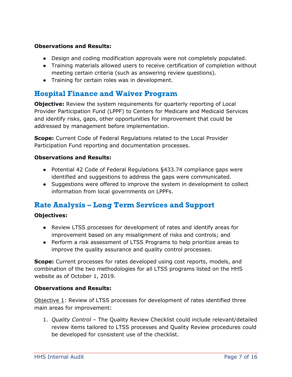#### **Observations and Results:**

- Design and coding modification approvals were not completely populated.
- Training materials allowed users to receive certification of completion without meeting certain criteria (such as answering review questions).
- Training for certain roles was in development.

## <span id="page-8-0"></span>**Hospital Finance and Waiver Program**

**Objective:** Review the system requirements for quarterly reporting of Local Provider Participation Fund (LPPF) to Centers for Medicare and Medicaid Services and identify risks, gaps, other opportunities for improvement that could be addressed by management before implementation.

**Scope:** Current Code of Federal Regulations related to the Local Provider Participation Fund reporting and documentation processes.

#### **Observations and Results:**

- Potential 42 Code of Federal Regulations §433.74 compliance gaps were identified and suggestions to address the gaps were communicated.
- Suggestions were offered to improve the system in development to collect information from local governments on LPPFs.

## <span id="page-8-1"></span>**Rate Analysis – Long Term Services and Support**

#### **Objectives:**

- Review LTSS processes for development of rates and identify areas for improvement based on any misalignment of risks and controls; and
- Perform a risk assessment of LTSS Programs to help prioritize areas to improve the quality assurance and quality control processes.

**Scope:** Current processes for rates developed using cost reports, models, and combination of the two methodologies for all LTSS programs listed on the HHS website as of October 1, 2019.

#### **Observations and Results:**

Objective 1: Review of LTSS processes for development of rates identified three main areas for improvement:

1. *Quality Control* – The Quality Review Checklist could include relevant/detailed review items tailored to LTSS processes and Quality Review procedures could be developed for consistent use of the checklist.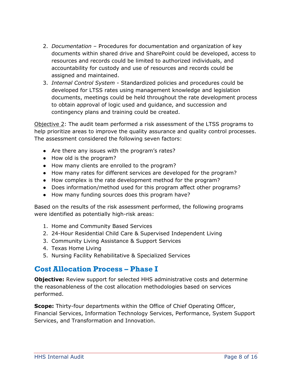- 2. *Documentation* Procedures for documentation and organization of key documents within shared drive and SharePoint could be developed, access to resources and records could be limited to authorized individuals, and accountability for custody and use of resources and records could be assigned and maintained.
- 3. *Internal Control System*  Standardized policies and procedures could be developed for LTSS rates using management knowledge and legislation documents, meetings could be held throughout the rate development process to obtain approval of logic used and guidance, and succession and contingency plans and training could be created.

Objective 2: The audit team performed a risk assessment of the LTSS programs to help prioritize areas to improve the quality assurance and quality control processes. The assessment considered the following seven factors:

- Are there any issues with the program's rates?
- How old is the program?
- How many clients are enrolled to the program?
- How many rates for different services are developed for the program?
- How complex is the rate development method for the program?
- Does information/method used for this program affect other programs?
- How many funding sources does this program have?

Based on the results of the risk assessment performed, the following programs were identified as potentially high-risk areas:

- 1. Home and Community Based Services
- 2. 24-Hour Residential Child Care & Supervised Independent Living
- 3. Community Living Assistance & Support Services
- 4. Texas Home Living
- 5. Nursing Facility Rehabilitative & Specialized Services

## <span id="page-9-0"></span>**Cost Allocation Process – Phase I**

**Objective:** Review support for selected HHS administrative costs and determine the reasonableness of the cost allocation methodologies based on services performed.

**Scope:** Thirty-four departments within the Office of Chief Operating Officer, Financial Services, Information Technology Services, Performance, System Support Services, and Transformation and Innovation.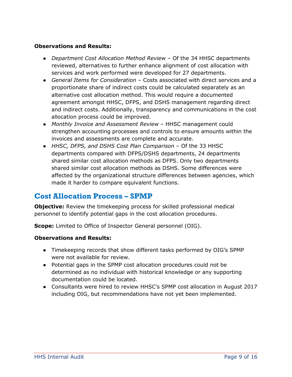#### **Observations and Results:**

- *Department Cost Allocation Method Review* Of the 34 HHSC departments reviewed, alternatives to further enhance alignment of cost allocation with services and work performed were developed for 27 departments.
- *General Items for Consideration* Costs associated with direct services and a proportionate share of indirect costs could be calculated separately as an alternative cost allocation method. This would require a documented agreement amongst HHSC, DFPS, and DSHS management regarding direct and indirect costs. Additionally, transparency and communications in the cost allocation process could be improved.
- *Monthly Invoice and Assessment Review*  HHSC management could strengthen accounting processes and controls to ensure amounts within the invoices and assessments are complete and accurate.
- *HHSC, DFPS, and DSHS Cost Plan Comparison* Of the 33 HHSC departments compared with DFPS/DSHS departments, 24 departments shared similar cost allocation methods as DFPS. Only two departments shared similar cost allocation methods as DSHS. Some differences were affected by the organizational structure differences between agencies, which made it harder to compare equivalent functions.

## <span id="page-10-0"></span>**Cost Allocation Process – SPMP**

**Objective:** Review the timekeeping process for skilled professional medical personnel to identify potential gaps in the cost allocation procedures.

**Scope:** Limited to Office of Inspector General personnel (OIG).

#### **Observations and Results:**

- Timekeeping records that show different tasks performed by OIG's SPMP were not available for review.
- Potential gaps in the SPMP cost allocation procedures could not be determined as no individual with historical knowledge or any supporting documentation could be located.
- Consultants were hired to review HHSC's SPMP cost allocation in August 2017 including OIG, but recommendations have not yet been implemented.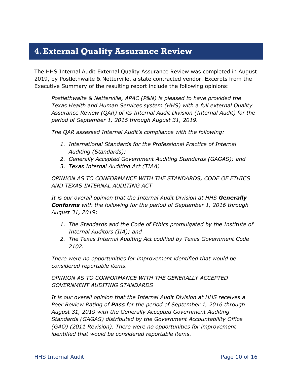## <span id="page-11-0"></span>**4.External Quality Assurance Review**

The HHS Internal Audit External Quality Assurance Review was completed in August 2019, by Postlethwaite & Netterville, a state contracted vendor. Excerpts from the Executive Summary of the resulting report include the following opinions:

*Postlethwaite & Netterville, APAC (P&N) is pleased to have provided the Texas Health and Human Services system (HHS) with a full external Quality Assurance Review (QAR) of its Internal Audit Division (Internal Audit) for the period of September 1, 2016 through August 31, 2019.*

*The QAR assessed Internal Audit's compliance with the following:*

- *1. International Standards for the Professional Practice of Internal Auditing (Standards);*
- *2. Generally Accepted Government Auditing Standards (GAGAS); and*
- *3. Texas Internal Auditing Act (TIAA)*

*OPINION AS TO CONFORMANCE WITH THE STANDARDS, CODE OF ETHICS AND TEXAS INTERNAL AUDITING ACT*

*It is our overall opinion that the Internal Audit Division at HHS Generally Conforms with the following for the period of September 1, 2016 through August 31, 2019:*

- *1. The Standards and the Code of Ethics promulgated by the Institute of Internal Auditors (IIA); and*
- *2. The Texas Internal Auditing Act codified by Texas Government Code 2102.*

*There were no opportunities for improvement identified that would be considered reportable items.*

*OPINION AS TO CONFORMANCE WITH THE GENERALLY ACCEPTED GOVERNMENT AUDITING STANDARDS*

*It is our overall opinion that the Internal Audit Division at HHS receives a Peer Review Rating of Pass for the period of September 1, 2016 through August 31, 2019 with the Generally Accepted Government Auditing Standards (GAGAS) distributed by the Government Accountability Office (GAO) (2011 Revision). There were no opportunities for improvement identified that would be considered reportable items.*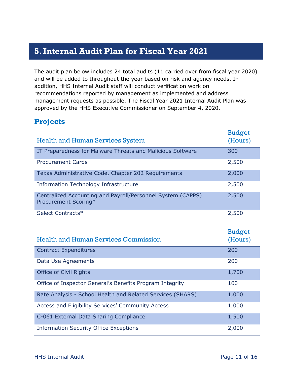# <span id="page-12-0"></span>**5.Internal Audit Plan for Fiscal Year 2021**

The audit plan below includes 24 total audits (11 carried over from fiscal year 2020) and will be added to throughout the year based on risk and agency needs. In addition, HHS Internal Audit staff will conduct verification work on recommendations reported by management as implemented and address management requests as possible. The Fiscal Year 2021 Internal Audit Plan was approved by the HHS Executive Commissioner on September 4, 2020.

## <span id="page-12-1"></span>**Projects**

| <b>Health and Human Services System</b>                                             | <b>Budget</b><br>(Hours) |
|-------------------------------------------------------------------------------------|--------------------------|
| IT Preparedness for Malware Threats and Malicious Software                          | 300                      |
| <b>Procurement Cards</b>                                                            | 2,500                    |
| Texas Administrative Code, Chapter 202 Requirements                                 | 2,000                    |
| <b>Information Technology Infrastructure</b>                                        | 2,500                    |
| Centralized Accounting and Payroll/Personnel System (CAPPS)<br>Procurement Scoring* | 2,500                    |
| Select Contracts*                                                                   | 2,500                    |
|                                                                                     |                          |
| <b>Health and Human Services Commission</b>                                         | <b>Budget</b><br>(Hours) |
| <b>Contract Expenditures</b>                                                        | 200                      |
| Data Use Agreements                                                                 | 200                      |
| <b>Office of Civil Rights</b>                                                       | 1,700                    |
| Office of Inspector General's Benefits Program Integrity                            | 100                      |
| Rate Analysis - School Health and Related Services (SHARS)                          | 1,000                    |
| Access and Eligibility Services' Community Access                                   | 1,000                    |
| C-061 External Data Sharing Compliance                                              | 1,500                    |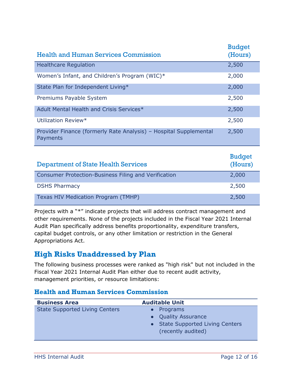| <b>Health and Human Services Commission</b>                                   | <b>Budget</b><br>(Hours) |
|-------------------------------------------------------------------------------|--------------------------|
| <b>Healthcare Regulation</b>                                                  | 2,500                    |
| Women's Infant, and Children's Program (WIC)*                                 | 2,000                    |
| State Plan for Independent Living*                                            | 2,000                    |
| Premiums Payable System                                                       | 2,500                    |
| Adult Mental Health and Crisis Services*                                      | 2,500                    |
| Utilization Review*                                                           | 2,500                    |
| Provider Finance (formerly Rate Analysis) - Hospital Supplemental<br>Payments | 2,500                    |
|                                                                               | <b>Budget</b>            |

| <b>Department of State Health Services</b>                  | ------<br>(Hours) |
|-------------------------------------------------------------|-------------------|
| <b>Consumer Protection-Business Filing and Verification</b> | 2,000             |
| <b>DSHS Pharmacy</b>                                        | 2,500             |
| Texas HIV Medication Program (TMHP)                         | 2,500             |

Projects with a "\*" indicate projects that will address contract management and other requirements. None of the projects included in the Fiscal Year 2021 Internal Audit Plan specifically address benefits proportionality, expenditure transfers, capital budget controls, or any other limitation or restriction in the General Appropriations Act.

## <span id="page-13-0"></span>**High Risks Unaddressed by Plan**

The following business processes were ranked as "high risk" but not included in the Fiscal Year 2021 Internal Audit Plan either due to recent audit activity, management priorities, or resource limitations:

#### **Health and Human Services Commission**

| <b>Business Area</b>                  | <b>Auditable Unit</b>            |
|---------------------------------------|----------------------------------|
| <b>State Supported Living Centers</b> | Programs                         |
|                                       | • Quality Assurance              |
|                                       | • State Supported Living Centers |
|                                       | (recently audited)               |
|                                       |                                  |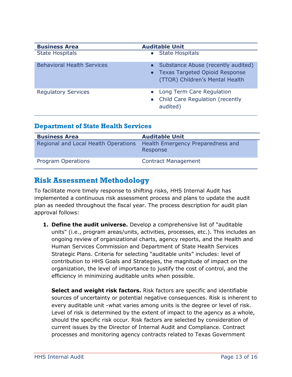| <b>Business Area</b>              | <b>Auditable Unit</b>                                                                                     |
|-----------------------------------|-----------------------------------------------------------------------------------------------------------|
| <b>State Hospitals</b>            | • State Hospitals                                                                                         |
| <b>Behavioral Health Services</b> | Substance Abuse (recently audited)<br>• Texas Targeted Opioid Response<br>(TTOR) Children's Mental Health |
| <b>Regulatory Services</b>        | • Long Term Care Regulation<br>• Child Care Regulation (recently<br>audited)                              |

#### **Department of State Health Services**

| <b>Business Area</b>                 | <b>Auditable Unit</b>                         |
|--------------------------------------|-----------------------------------------------|
| Regional and Local Health Operations | Health Emergency Preparedness and<br>Response |
| Program Operations                   | <b>Contract Management</b>                    |

## <span id="page-14-0"></span>**Risk Assessment Methodology**

To facilitate more timely response to shifting risks, HHS Internal Audit has implemented a continuous risk assessment process and plans to update the audit plan as needed throughout the fiscal year. The process description for audit plan approval follows:

**1. Define the audit universe.** Develop a comprehensive list of "auditable units" (i.e., program areas/units, activities, processes, etc.). This includes an ongoing review of organizational charts, agency reports, and the Health and Human Services Commission and Department of State Health Services Strategic Plans. Criteria for selecting "auditable units" includes: level of contribution to HHS Goals and Strategies, the magnitude of impact on the organization, the level of importance to justify the cost of control, and the efficiency in minimizing auditable units when possible.

**Select and weight risk factors.** Risk factors are specific and identifiable sources of uncertainty or potential negative consequences. Risk is inherent to every auditable unit -what varies among units is the degree or level of risk. Level of risk is determined by the extent of impact to the agency as a whole, should the specific risk occur. Risk factors are selected by consideration of current issues by the Director of Internal Audit and Compliance. Contract processes and monitoring agency contracts related to Texas Government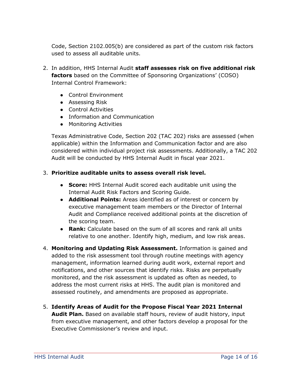Code, Section 2102.005(b) are considered as part of the custom risk factors used to assess all auditable units.

- 2. In addition, HHS Internal Audit **staff assesses risk on five additional risk factors** based on the Committee of Sponsoring Organizations' (COSO) Internal Control Framework:
	- Control Environment
	- Assessing Risk
	- Control Activities
	- Information and Communication
	- Monitoring Activities

Texas Administrative Code, Section 202 (TAC 202) risks are assessed (when applicable) within the Information and Communication factor and are also considered within individual project risk assessments. Additionally, a TAC 202 Audit will be conducted by HHS Internal Audit in fiscal year 2021.

#### 3. **Prioritize auditable units to assess overall risk level.**

- **Score:** HHS Internal Audit scored each auditable unit using the Internal Audit Risk Factors and Scoring Guide.
- **Additional Points:** Areas identified as of interest or concern by executive management team members or the Director of Internal Audit and Compliance received additional points at the discretion of the scoring team.
- **Rank:** Calculate based on the sum of all scores and rank all units relative to one another. Identify high, medium, and low risk areas.
- 4. **Monitoring and Updating Risk Assessment.** Information is gained and added to the risk assessment tool through routine meetings with agency management, information learned during audit work, external report and notifications, and other sources that identify risks. Risks are perpetually monitored, and the risk assessment is updated as often as needed, to address the most current risks at HHS. The audit plan is monitored and assessed routinely, and amendments are proposed as appropriate.
- 5. **Identify Areas of Audit for the Propose Fiscal Year 2021 Internal Audit Plan.** Based on available staff hours, review of audit history, input from executive management, and other factors develop a proposal for the Executive Commissioner's review and input.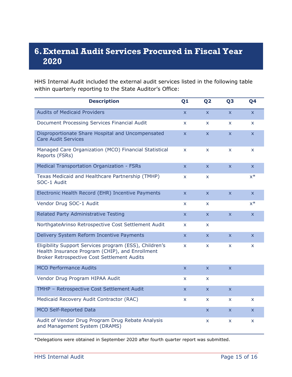# <span id="page-16-0"></span>**6.External Audit Services Procured in Fiscal Year 2020**

HHS Internal Audit included the external audit services listed in the following table within quarterly reporting to the State Auditor's Office:

| <b>Description</b>                                                                                                                                       | Q <sub>1</sub>          | Q <sub>2</sub>          | Q <sub>3</sub>          | Q <sub>4</sub>     |
|----------------------------------------------------------------------------------------------------------------------------------------------------------|-------------------------|-------------------------|-------------------------|--------------------|
| <b>Audits of Medicaid Providers</b>                                                                                                                      | $\overline{\mathsf{x}}$ | $\overline{\mathsf{x}}$ | $\overline{\mathsf{x}}$ | $\mathsf{x}$       |
| Document Processing Services Financial Audit                                                                                                             | $\mathsf{x}$            | x                       | X.                      | $\mathsf{X}$       |
| Disproportionate Share Hospital and Uncompensated<br><b>Care Audit Services</b>                                                                          | $\overline{\mathsf{x}}$ | $\overline{\mathsf{x}}$ | $\overline{\mathsf{x}}$ | $\mathsf{x}$       |
| Managed Care Organization (MCO) Financial Statistical<br>Reports (FSRs)                                                                                  | X                       | X                       | X                       | $\mathsf{x}$       |
| Medical Transportation Organization - FSRs                                                                                                               | $\mathsf{x}$            | X                       | X                       | $\mathsf{X}$       |
| Texas Medicaid and Healthcare Partnership (TMHP)<br>SOC-1 Audit                                                                                          | <b>X</b>                | X                       |                         | $x^*$              |
| Electronic Health Record (EHR) Incentive Payments                                                                                                        | $\overline{\mathsf{x}}$ | $\bar{\mathsf{x}}$      | $\overline{\mathsf{x}}$ | $\bar{\mathbf{X}}$ |
| Vendor Drug SOC-1 Audit                                                                                                                                  | $\mathsf{x}$            | X.                      |                         | $x^*$              |
| Related Party Administrative Testing                                                                                                                     | $\mathsf{x}$            | $\mathsf{x}$            | $\overline{\mathsf{x}}$ | $\mathsf{X}$       |
| NorthgateArinso Retrospective Cost Settlement Audit                                                                                                      | $\mathsf{x}$            | X.                      |                         |                    |
| Delivery System Reform Incentive Payments                                                                                                                | $\mathsf{x}$            | X.                      | X                       | $\mathsf{x}$       |
| Eligibility Support Services program (ESS), Children's<br>Health Insurance Program (CHIP), and Enrollment<br>Broker Retrospective Cost Settlement Audits | X                       | X.                      | <b>X</b>                | $\mathsf{x}$       |
| <b>MCO Performance Audits</b>                                                                                                                            | $\mathsf{x}$            | $\overline{\mathsf{x}}$ | $\overline{\mathsf{x}}$ |                    |
| Vendor Drug Program HIPAA Audit                                                                                                                          | $\mathsf{x}$            | X.                      |                         |                    |
| TMHP - Retrospective Cost Settlement Audit                                                                                                               | $\mathsf{x}$            | $\mathsf{x}$            | $\bar{\mathbf{x}}$      |                    |
| Medicaid Recovery Audit Contractor (RAC)                                                                                                                 | X                       | X.                      | <b>X</b>                | <b>X</b>           |
| <b>MCO Self-Reported Data</b>                                                                                                                            |                         | X                       | $\mathsf{x}$            | $\mathsf{x}$       |
| Audit of Vendor Drug Program Drug Rebate Analysis<br>and Management System (DRAMS)                                                                       |                         | X                       | x                       | $\mathsf{x}$       |

\*Delegations were obtained in September 2020 after fourth quarter report was submitted.